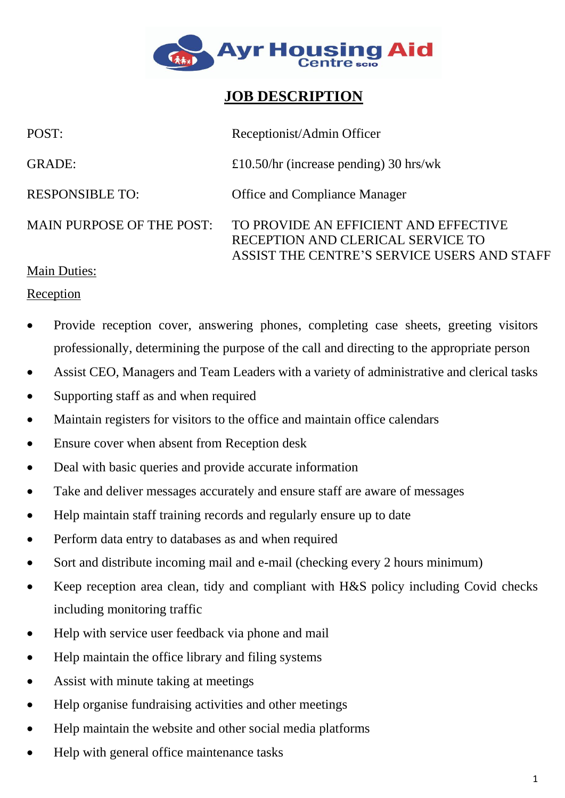

# **JOB DESCRIPTION**

| POST:                            | Receptionist/Admin Officer                                                                                                |
|----------------------------------|---------------------------------------------------------------------------------------------------------------------------|
| <b>GRADE:</b>                    | £10.50/hr (increase pending) 30 hrs/wk                                                                                    |
| <b>RESPONSIBLE TO:</b>           | <b>Office and Compliance Manager</b>                                                                                      |
| <b>MAIN PURPOSE OF THE POST:</b> | TO PROVIDE AN EFFICIENT AND EFFECTIVE<br>RECEPTION AND CLERICAL SERVICE TO<br>ASSIST THE CENTRE'S SERVICE USERS AND STAFF |
| Main Duties                      |                                                                                                                           |

# Main Duties:

#### Reception

- Provide reception cover, answering phones, completing case sheets, greeting visitors professionally, determining the purpose of the call and directing to the appropriate person
- Assist CEO, Managers and Team Leaders with a variety of administrative and clerical tasks
- Supporting staff as and when required
- Maintain registers for visitors to the office and maintain office calendars
- Ensure cover when absent from Reception desk
- Deal with basic queries and provide accurate information
- Take and deliver messages accurately and ensure staff are aware of messages
- Help maintain staff training records and regularly ensure up to date
- Perform data entry to databases as and when required
- Sort and distribute incoming mail and e-mail (checking every 2 hours minimum)
- Keep reception area clean, tidy and compliant with H&S policy including Covid checks including monitoring traffic
- Help with service user feedback via phone and mail
- Help maintain the office library and filing systems
- Assist with minute taking at meetings
- Help organise fundraising activities and other meetings
- Help maintain the website and other social media platforms
- Help with general office maintenance tasks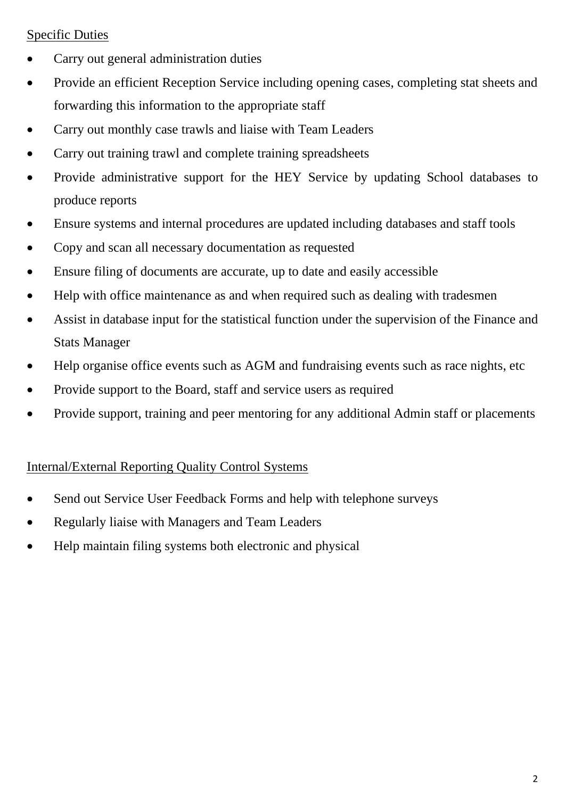## Specific Duties

- Carry out general administration duties
- Provide an efficient Reception Service including opening cases, completing stat sheets and forwarding this information to the appropriate staff
- Carry out monthly case trawls and liaise with Team Leaders
- Carry out training trawl and complete training spreadsheets
- Provide administrative support for the HEY Service by updating School databases to produce reports
- Ensure systems and internal procedures are updated including databases and staff tools
- Copy and scan all necessary documentation as requested
- Ensure filing of documents are accurate, up to date and easily accessible
- Help with office maintenance as and when required such as dealing with tradesmen
- Assist in database input for the statistical function under the supervision of the Finance and Stats Manager
- Help organise office events such as AGM and fundraising events such as race nights, etc
- Provide support to the Board, staff and service users as required
- Provide support, training and peer mentoring for any additional Admin staff or placements

## Internal/External Reporting Quality Control Systems

- Send out Service User Feedback Forms and help with telephone surveys
- Regularly liaise with Managers and Team Leaders
- Help maintain filing systems both electronic and physical